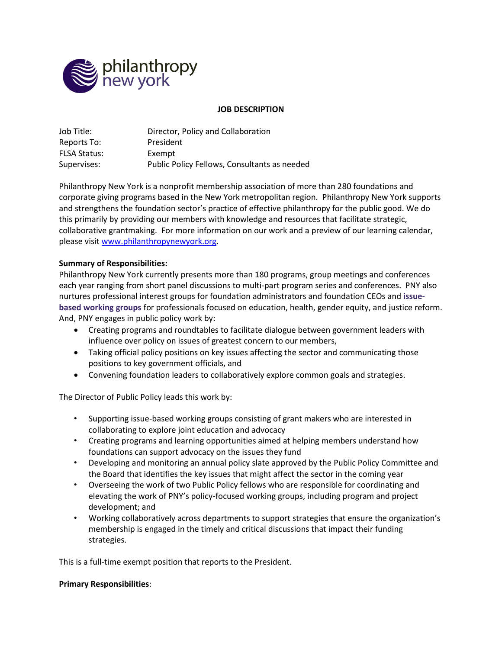

#### **JOB DESCRIPTION**

| Job Title:          | Director, Policy and Collaboration           |
|---------------------|----------------------------------------------|
| Reports To:         | President                                    |
| <b>FLSA Status:</b> | Exempt                                       |
| Supervises:         | Public Policy Fellows, Consultants as needed |

Philanthropy New York is a nonprofit membership association of more than 280 foundations and corporate giving programs based in the New York metropolitan region. Philanthropy New York supports and strengthens the foundation sector's practice of effective philanthropy for the public good. We do this primarily by providing our members with knowledge and resources that facilitate strategic, collaborative grantmaking. For more information on our work and a preview of our learning calendar, please visit [www.philanthropynewyork.org.](http://www.philanthropynewyork.org/)

#### **Summary of Responsibilities:**

Philanthropy New York currently presents more than 180 programs, group meetings and conferences each year ranging from short panel discussions to multi-part program series and conferences. PNY also nurtures professional interest groups for foundation administrators and foundation CEOs and **[issue](https://philanthropynewyork.org/issue-based-working-groups)based [working](https://philanthropynewyork.org/issue-based-working-groups) groups** for professionals focused on education, health, gender equity, and justice reform. And, PNY engages in public policy work by:

- Creating programs and roundtables to facilitate dialogue between government leaders with influence over policy on issues of greatest concern to our members,
- Taking official policy positions on key issues affecting the sector and communicating those positions to key government officials, and
- Convening foundation leaders to collaboratively explore common goals and strategies.

The Director of Public Policy leads this work by:

- Supporting issue-based working groups consisting of grant makers who are interested in collaborating to explore joint education and advocacy
- Creating programs and learning opportunities aimed at helping members understand how foundations can support advocacy on the issues they fund
- Developing and monitoring an annual policy slate approved by the Public Policy Committee and the Board that identifies the key issues that might affect the sector in the coming year
- Overseeing the work of two Public Policy fellows who are responsible for coordinating and elevating the work of PNY's policy-focused working groups, including program and project development; and
- Working collaboratively across departments to support strategies that ensure the organization's membership is engaged in the timely and critical discussions that impact their funding strategies.

This is a full-time exempt position that reports to the President.

#### **Primary Responsibilities**: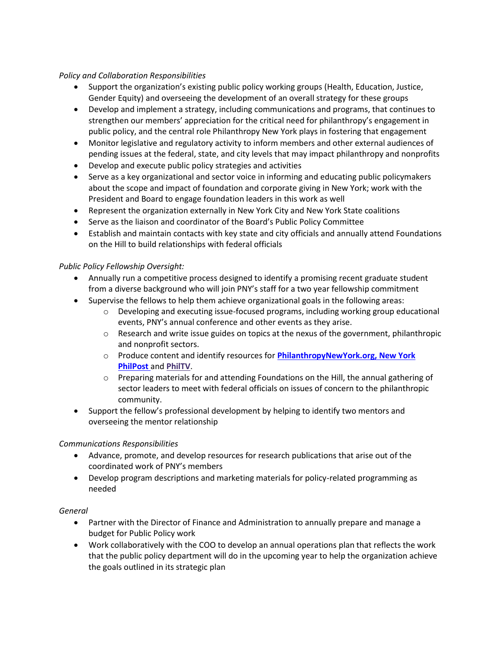### *Policy and Collaboration Responsibilities*

- Support the organization's existing public policy working groups (Health, Education, Justice, Gender Equity) and overseeing the development of an overall strategy for these groups
- Develop and implement a strategy, including communications and programs, that continues to strengthen our members' appreciation for the critical need for philanthropy's engagement in public policy, and the central role Philanthropy New York plays in fostering that engagement
- Monitor legislative and regulatory activity to inform members and other external audiences of pending issues at the federal, state, and city levels that may impact philanthropy and nonprofits
- Develop and execute public policy strategies and activities
- Serve as a key organizational and sector voice in informing and educating public policymakers about the scope and impact of foundation and corporate giving in New York; work with the President and Board to engage foundation leaders in this work as well
- Represent the organization externally in New York City and New York State coalitions
- Serve as the liaison and coordinator of the Board's Public Policy Committee
- Establish and maintain contacts with key state and city officials and annually attend Foundations on the Hill to build relationships with federal officials

# *Public Policy Fellowship Oversight:*

- Annually run a competitive process designed to identify a promising recent graduate student from a diverse background who will join PNY's staff for a two year fellowship commitment
- Supervise the fellows to help them achieve organizational goals in the following areas:
	- $\circ$  Developing and executing issue-focused programs, including working group educational events, PNY's annual conference and other events as they arise.
	- $\circ$  Research and write issue guides on topics at the nexus of the government, philanthropic and nonprofit sectors.
	- o Produce content and identify resources for **[PhilanthropyNewYork.org,](http://www.philanthropynewyork.org/) [New](https://philanthropynewyork.org/news) York [PhilPost](https://philanthropynewyork.org/news)** and **[PhilTV](https://philanthropynewyork.org/philtv)**.
	- o Preparing materials for and attending Foundations on the Hill, the annual gathering of sector leaders to meet with federal officials on issues of concern to the philanthropic community.
- Support the fellow's professional development by helping to identify two mentors and overseeing the mentor relationship

# *Communications Responsibilities*

- Advance, promote, and develop resources for research publications that arise out of the coordinated work of PNY's members
- Develop program descriptions and marketing materials for policy-related programming as needed

### *General*

- Partner with the Director of Finance and Administration to annually prepare and manage a budget for Public Policy work
- Work collaboratively with the COO to develop an annual operations plan that reflects the work that the public policy department will do in the upcoming year to help the organization achieve the goals outlined in its strategic plan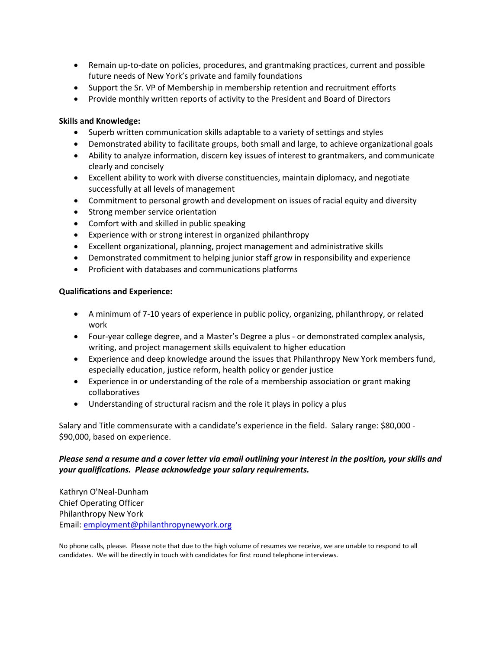- Remain up-to-date on policies, procedures, and grantmaking practices, current and possible future needs of New York's private and family foundations
- Support the Sr. VP of Membership in membership retention and recruitment efforts
- Provide monthly written reports of activity to the President and Board of Directors

## **Skills and Knowledge:**

- Superb written communication skills adaptable to a variety of settings and styles
- Demonstrated ability to facilitate groups, both small and large, to achieve organizational goals
- Ability to analyze information, discern key issues of interest to grantmakers, and communicate clearly and concisely
- Excellent ability to work with diverse constituencies, maintain diplomacy, and negotiate successfully at all levels of management
- Commitment to personal growth and development on issues of racial equity and diversity
- Strong member service orientation
- Comfort with and skilled in public speaking
- Experience with or strong interest in organized philanthropy
- Excellent organizational, planning, project management and administrative skills
- Demonstrated commitment to helping junior staff grow in responsibility and experience
- Proficient with databases and communications platforms

### **Qualifications and Experience:**

- A minimum of 7-10 years of experience in public policy, organizing, philanthropy, or related work
- Four-year college degree, and a Master's Degree a plus or demonstrated complex analysis, writing, and project management skills equivalent to higher education
- Experience and deep knowledge around the issues that Philanthropy New York members fund, especially education, justice reform, health policy or gender justice
- Experience in or understanding of the role of a membership association or grant making collaboratives
- Understanding of structural racism and the role it plays in policy a plus

Salary and Title commensurate with a candidate's experience in the field. Salary range: \$80,000 - \$90,000, based on experience.

# *Please send a resume and a cover letter via email outlining your interest in the position, your skills and your qualifications. Please acknowledge your salary requirements.*

Kathryn O'Neal-Dunham Chief Operating Officer Philanthropy New York Email: [employment@philanthropynewyork.org](mailto:employment@philanthropynewyork.org)

No phone calls, please. Please note that due to the high volume of resumes we receive, we are unable to respond to all candidates. We will be directly in touch with candidates for first round telephone interviews.